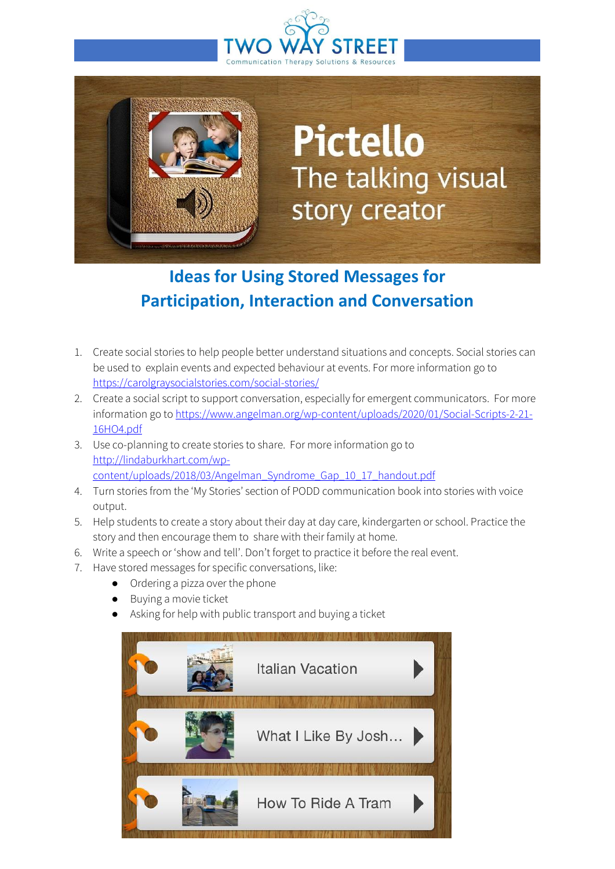



## **Pictello** The talking visual story creator

## **Ideas for Using Stored Messages for Participation, Interaction and Conversation**

- 1. Create social stories to help people better understand situations and concepts. Social stories can be used to explain events and expected behaviour at events. For more information go to <https://carolgraysocialstories.com/social-stories/>
- 2. Create a social script to support conversation, especially for emergent communicators. For more information go to [https://www.angelman.org/wp-content/uploads/2020/01/Social-Scripts-2-21-](https://www.angelman.org/wp-content/uploads/2020/01/Social-Scripts-2-21-16HO4.pdf) [16HO4.pdf](https://www.angelman.org/wp-content/uploads/2020/01/Social-Scripts-2-21-16HO4.pdf)
- 3. Use co-planning to create stories to share. For more information go to [http://lindaburkhart.com/wp](http://lindaburkhart.com/wp-content/uploads/2018/03/Angelman_Syndrome_Gap_10_17_handout.pdf)[content/uploads/2018/03/Angelman\\_Syndrome\\_Gap\\_10\\_17\\_handout.pdf](http://lindaburkhart.com/wp-content/uploads/2018/03/Angelman_Syndrome_Gap_10_17_handout.pdf)
- 4. Turn stories from the 'My Stories' section of PODD communication book into stories with voice output.
- 5. Help students to create a story about their day at day care, kindergarten or school. Practice the story and then encourage them to share with their family at home.
- 6. Write a speech or 'show and tell'. Don't forget to practice it before the real event.
- 7. Have stored messages for specific conversations, like:
	- Ordering a pizza over the phone
	- Buying a movie ticket
	- Asking for help with public transport and buying a ticket

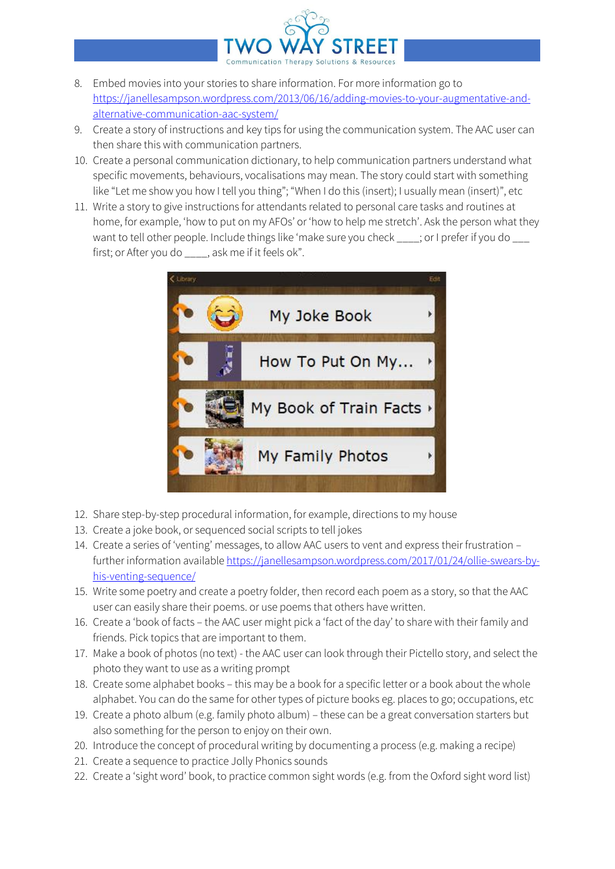

- 8. Embed movies into your stories to share information. For more information go to [https://janellesampson.wordpress.com/2013/06/16/adding-movies-to-your-augmentative-and](https://janellesampson.wordpress.com/2013/06/16/adding-movies-to-your-augmentative-and-alternative-communication-aac-system/)[alternative-communication-aac-system/](https://janellesampson.wordpress.com/2013/06/16/adding-movies-to-your-augmentative-and-alternative-communication-aac-system/)
- 9. Create a story of instructions and key tips for using the communication system. The AAC user can then share this with communication partners.
- 10. Create a personal communication dictionary, to help communication partners understand what specific movements, behaviours, vocalisations may mean. The story could start with something like "Let me show you how I tell you thing"; "When I do this (insert); I usually mean (insert)", etc
- 11. Write a story to give instructions for attendants related to personal care tasks and routines at home, for example, 'how to put on my AFOs' or 'how to help me stretch'. Ask the person what they want to tell other people. Include things like 'make sure you check \_\_\_\_; or I prefer if you do \_\_\_ first; or After you do \_\_\_\_, ask me if it feels ok".



- 12. Share step-by-step procedural information, for example, directions to my house
- 13. Create a joke book, or sequenced social scripts to tell jokes
- 14. Create a series of 'venting' messages, to allow AAC users to vent and express their frustration further information availabl[e https://janellesampson.wordpress.com/2017/01/24/ollie-swears-by](https://janellesampson.wordpress.com/2017/01/24/ollie-swears-by-his-venting-sequence/)[his-venting-sequence/](https://janellesampson.wordpress.com/2017/01/24/ollie-swears-by-his-venting-sequence/)
- 15. Write some poetry and create a poetry folder, then record each poem as a story, so that the AAC user can easily share their poems. or use poems that others have written.
- 16. Create a 'book of facts the AAC user might pick a 'fact of the day' to share with their family and friends. Pick topics that are important to them.
- 17. Make a book of photos (no text) the AAC user can look through their Pictello story, and select the photo they want to use as a writing prompt
- 18. Create some alphabet books this may be a book for a specific letter or a book about the whole alphabet. You can do the same for other types of picture books eg. places to go; occupations, etc
- 19. Create a photo album (e.g. family photo album) these can be a great conversation starters but also something for the person to enjoy on their own.
- 20. Introduce the concept of procedural writing by documenting a process (e.g. making a recipe)
- 21. Create a sequence to practice Jolly Phonics sounds
- 22. Create a 'sight word' book, to practice common sight words (e.g. from the Oxford sight word list)